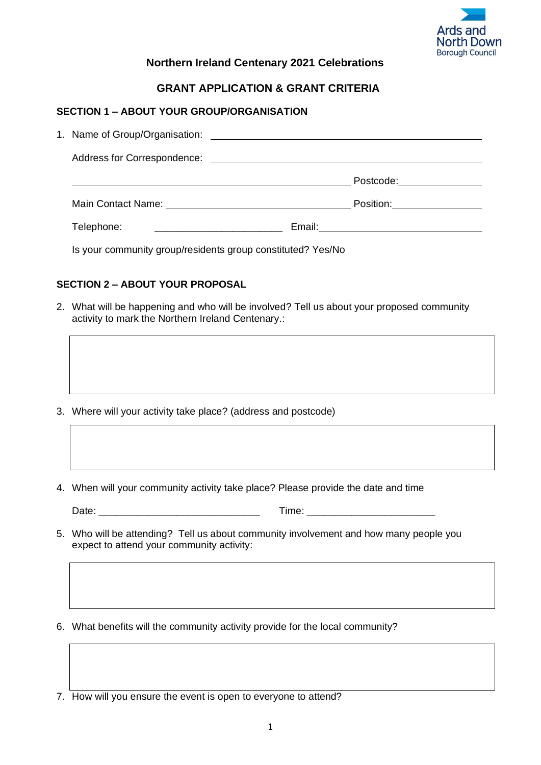

# **Northern Ireland Centenary 2021 Celebrations**

# **GRANT APPLICATION & GRANT CRITERIA**

# **SECTION 1 – ABOUT YOUR GROUP/ORGANISATION**

| 1. Name of Group/Organisation: | <u> 1989 - Johann John Stein, markin f</u>                  |  |  |
|--------------------------------|-------------------------------------------------------------|--|--|
|                                |                                                             |  |  |
|                                | Postcode: 2000                                              |  |  |
|                                | Position:_________________                                  |  |  |
| Telephone:                     |                                                             |  |  |
|                                | Is your community group/residents group constituted? Yes/No |  |  |

# **SECTION 2 – ABOUT YOUR PROPOSAL**

2. What will be happening and who will be involved? Tell us about your proposed community activity to mark the Northern Ireland Centenary.:

- 3. Where will your activity take place? (address and postcode)
- 4. When will your community activity take place? Please provide the date and time

| -     | $\sim$ |
|-------|--------|
| Daτe∶ | .      |
|       |        |

- 5. Who will be attending? Tell us about community involvement and how many people you expect to attend your community activity:
- 6. What benefits will the community activity provide for the local community?
- 7. How will you ensure the event is open to everyone to attend?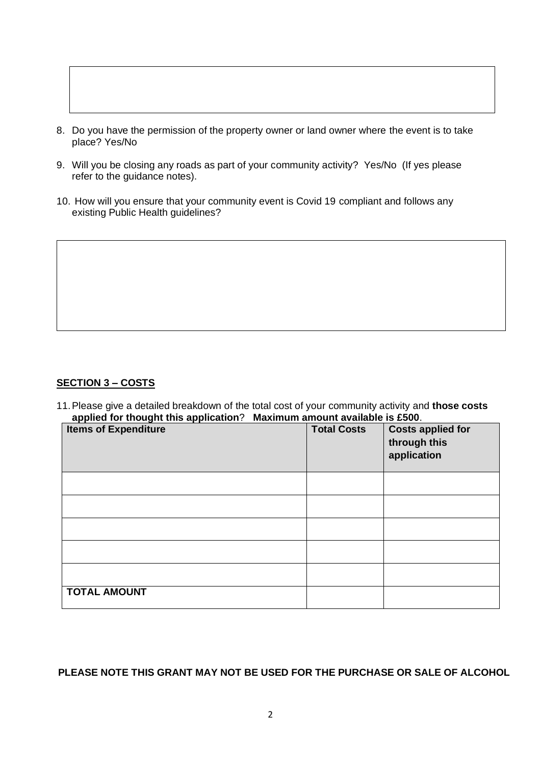- 8. Do you have the permission of the property owner or land owner where the event is to take place? Yes/No
- 9. Will you be closing any roads as part of your community activity? Yes/No (If yes please refer to the guidance notes).
- 10. How will you ensure that your community event is Covid 19 compliant and follows any existing Public Health guidelines?

# **SECTION 3 – COSTS**

11.Please give a detailed breakdown of the total cost of your community activity and **those costs applied for thought this application**? **Maximum amount available is £500**.

| $\tilde{\phantom{a}}$<br><b>Items of Expenditure</b> | <b>Total Costs</b> | <b>Costs applied for</b><br>through this<br>application |
|------------------------------------------------------|--------------------|---------------------------------------------------------|
|                                                      |                    |                                                         |
|                                                      |                    |                                                         |
|                                                      |                    |                                                         |
|                                                      |                    |                                                         |
|                                                      |                    |                                                         |
| <b>TOTAL AMOUNT</b>                                  |                    |                                                         |

**PLEASE NOTE THIS GRANT MAY NOT BE USED FOR THE PURCHASE OR SALE OF ALCOHOL**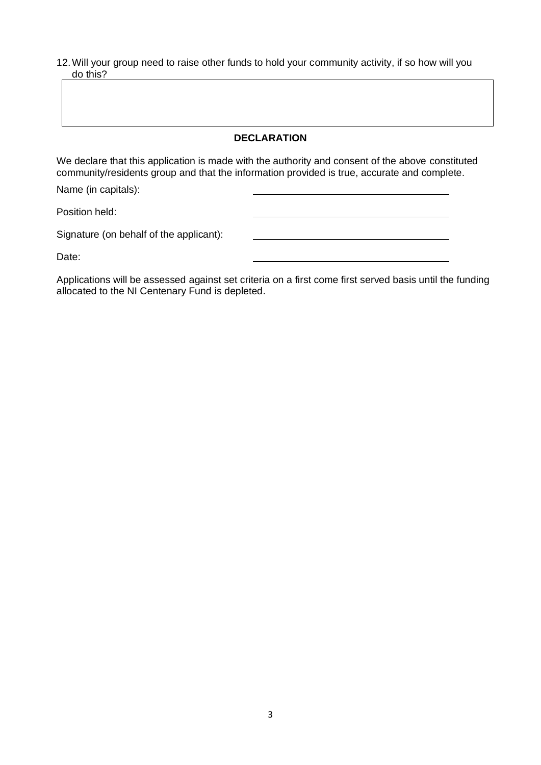12.Will your group need to raise other funds to hold your community activity, if so how will you do this?

# **DECLARATION**

We declare that this application is made with the authority and consent of the above constituted community/residents group and that the information provided is true, accurate and complete.

Name (in capitals):

Position held:

Signature (on behalf of the applicant):

Date:

Applications will be assessed against set criteria on a first come first served basis until the funding allocated to the NI Centenary Fund is depleted.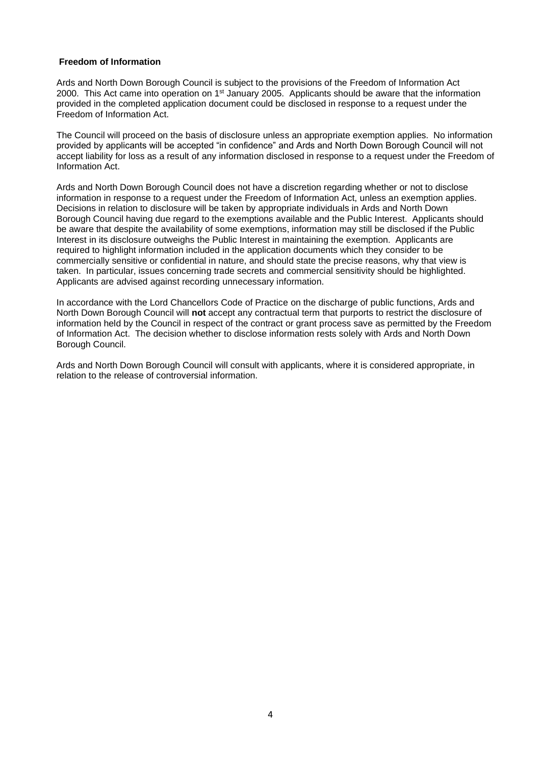#### **Freedom of Information**

Ards and North Down Borough Council is subject to the provisions of the Freedom of Information Act 2000. This Act came into operation on 1<sup>st</sup> January 2005. Applicants should be aware that the information provided in the completed application document could be disclosed in response to a request under the Freedom of Information Act.

The Council will proceed on the basis of disclosure unless an appropriate exemption applies. No information provided by applicants will be accepted "in confidence" and Ards and North Down Borough Council will not accept liability for loss as a result of any information disclosed in response to a request under the Freedom of Information Act.

Ards and North Down Borough Council does not have a discretion regarding whether or not to disclose information in response to a request under the Freedom of Information Act, unless an exemption applies. Decisions in relation to disclosure will be taken by appropriate individuals in Ards and North Down Borough Council having due regard to the exemptions available and the Public Interest. Applicants should be aware that despite the availability of some exemptions, information may still be disclosed if the Public Interest in its disclosure outweighs the Public Interest in maintaining the exemption. Applicants are required to highlight information included in the application documents which they consider to be commercially sensitive or confidential in nature, and should state the precise reasons, why that view is taken. In particular, issues concerning trade secrets and commercial sensitivity should be highlighted. Applicants are advised against recording unnecessary information.

In accordance with the Lord Chancellors Code of Practice on the discharge of public functions, Ards and North Down Borough Council will **not** accept any contractual term that purports to restrict the disclosure of information held by the Council in respect of the contract or grant process save as permitted by the Freedom of Information Act. The decision whether to disclose information rests solely with Ards and North Down Borough Council.

Ards and North Down Borough Council will consult with applicants, where it is considered appropriate, in relation to the release of controversial information.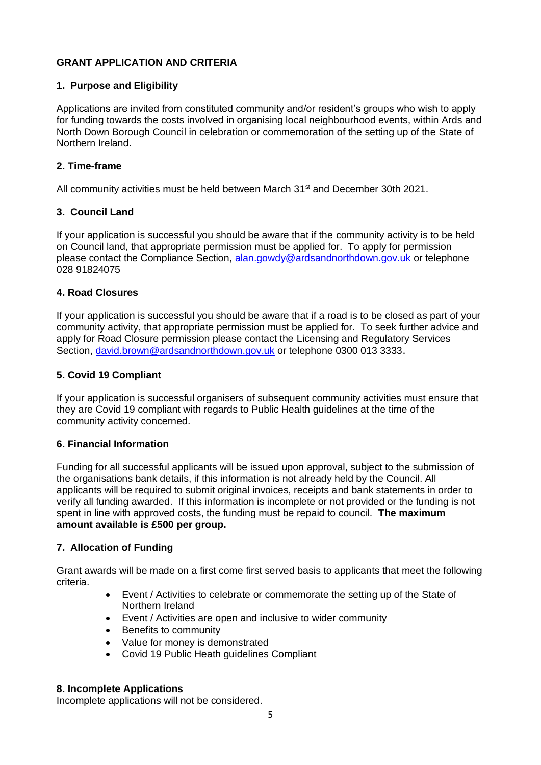# **GRANT APPLICATION AND CRITERIA**

# **1. Purpose and Eligibility**

Applications are invited from constituted community and/or resident's groups who wish to apply for funding towards the costs involved in organising local neighbourhood events, within Ards and North Down Borough Council in celebration or commemoration of the setting up of the State of Northern Ireland.

# **2. Time-frame**

All community activities must be held between March 31<sup>st</sup> and December 30th 2021.

# **3. Council Land**

If your application is successful you should be aware that if the community activity is to be held on Council land, that appropriate permission must be applied for. To apply for permission please contact the Compliance Section, [alan.gowdy@ardsandnorthdown.gov.uk](mailto:alan.gowdy@ardsandnorthdown.gov.uk) or telephone 028 91824075

# **4. Road Closures**

If your application is successful you should be aware that if a road is to be closed as part of your community activity, that appropriate permission must be applied for. To seek further advice and apply for Road Closure permission please contact the Licensing and Regulatory Services Section, [david.brown@ardsandnorthdown.gov.uk](mailto:david.brown@ardsandnorthdown.gov.uk) or telephone 0300 013 3333.

# **5. Covid 19 Compliant**

If your application is successful organisers of subsequent community activities must ensure that they are Covid 19 compliant with regards to Public Health guidelines at the time of the community activity concerned.

#### **6. Financial Information**

Funding for all successful applicants will be issued upon approval, subject to the submission of the organisations bank details, if this information is not already held by the Council. All applicants will be required to submit original invoices, receipts and bank statements in order to verify all funding awarded. If this information is incomplete or not provided or the funding is not spent in line with approved costs, the funding must be repaid to council. **The maximum amount available is £500 per group.**

#### **7. Allocation of Funding**

Grant awards will be made on a first come first served basis to applicants that meet the following criteria.

- Event / Activities to celebrate or commemorate the setting up of the State of Northern Ireland
- Event / Activities are open and inclusive to wider community
- Benefits to community
- Value for money is demonstrated
- Covid 19 Public Heath guidelines Compliant

#### **8. Incomplete Applications**

Incomplete applications will not be considered.